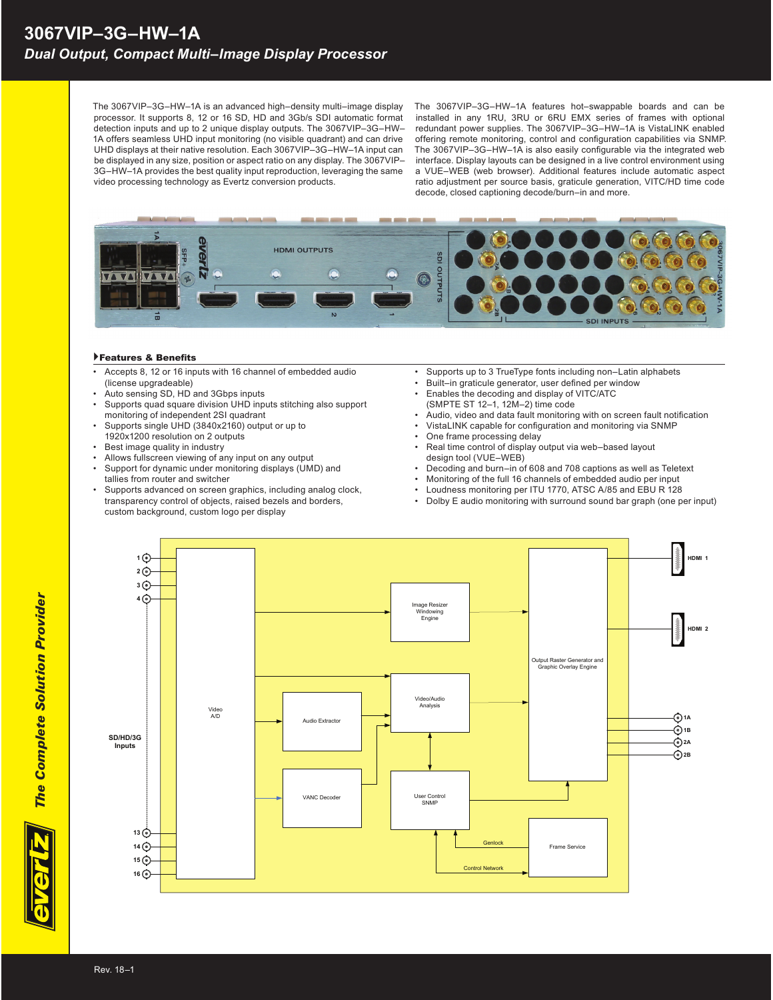The 3067VIP–3G–HW–1A is an advanced high–density multi–image display processor. It supports 8, 12 or 16 SD, HD and 3Gb/s SDI automatic format detection inputs and up to 2 unique display outputs. The 3067VIP–3G–HW– 1A offers seamless UHD input monitoring (no visible quadrant) and can drive UHD displays at their native resolution. Each 3067VIP–3G–HW–1A input can be displayed in any size, position or aspect ratio on any display. The 3067VIP– 3G–HW–1A provides the best quality input reproduction, leveraging the same video processing technology as Evertz conversion products.

The 3067VIP–3G–HW–1A features hot–swappable boards and can be installed in any 1RU, 3RU or 6RU EMX series of frames with optional redundant power supplies. The 3067VIP–3G–HW–1A is VistaLINK enabled offering remote monitoring, control and configuration capabilities via SNMP. The 3067VIP-3G-HW-1A is also easily configurable via the integrated web interface. Display layouts can be designed in a live control environment using a VUE–WEB (web browser). Additional features include automatic aspect ratio adjustment per source basis, graticule generation, VITC/HD time code decode, closed captioning decode/burn–in and more.



## Features & Benefits

- Accepts 8, 12 or 16 inputs with 16 channel of embedded audio (license upgradeable)
- Auto sensing SD, HD and 3Gbps inputs
- Supports quad square division UHD inputs stitching also support monitoring of independent 2SI quadrant
- Supports single UHD (3840x2160) output or up to 1920x1200 resolution on 2 outputs
- Best image quality in industry
- Allows fullscreen viewing of any input on any output
- Support for dynamic under monitoring displays (UMD) and
- tallies from router and switcher Supports advanced on screen graphics, including analog clock,
- transparency control of objects, raised bezels and borders, custom background, custom logo per display
- Supports up to 3 TrueType fonts including non–Latin alphabets
- Built-in graticule generator, user defined per window
- Enables the decoding and display of VITC/ATC (SMPTE ST 12–1, 12M–2) time code
- Audio, video and data fault monitoring with on screen fault notification
- VistaLINK capable for configuration and monitoring via SNMP
- One frame processing delay
- Real time control of display output via web–based layout design tool (VUE–WEB)
- Decoding and burn–in of 608 and 708 captions as well as Teletext
- Monitoring of the full 16 channels of embedded audio per input
- Loudness monitoring per ITU 1770, ATSC A/85 and EBU R 128
- Dolby E audio monitoring with surround sound bar graph (one per input)